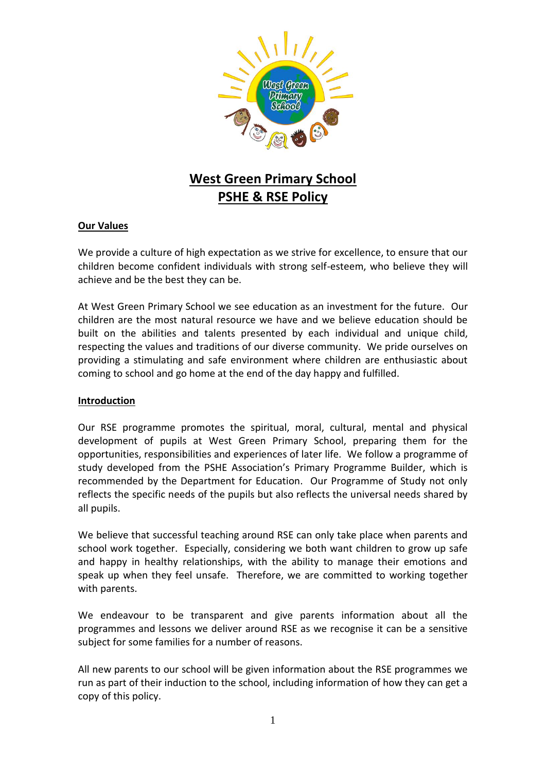

# **West Green Primary School PSHE & RSE Policy**

# **Our Values**

We provide a culture of high expectation as we strive for excellence, to ensure that our children become confident individuals with strong self-esteem, who believe they will achieve and be the best they can be.

At West Green Primary School we see education as an investment for the future. Our children are the most natural resource we have and we believe education should be built on the abilities and talents presented by each individual and unique child, respecting the values and traditions of our diverse community. We pride ourselves on providing a stimulating and safe environment where children are enthusiastic about coming to school and go home at the end of the day happy and fulfilled.

#### **Introduction**

Our RSE programme promotes the spiritual, moral, cultural, mental and physical development of pupils at West Green Primary School, preparing them for the opportunities, responsibilities and experiences of later life. We follow a programme of study developed from the PSHE Association's Primary Programme Builder, which is recommended by the Department for Education. Our Programme of Study not only reflects the specific needs of the pupils but also reflects the universal needs shared by all pupils.

We believe that successful teaching around RSE can only take place when parents and school work together. Especially, considering we both want children to grow up safe and happy in healthy relationships, with the ability to manage their emotions and speak up when they feel unsafe. Therefore, we are committed to working together with parents.

We endeavour to be transparent and give parents information about all the programmes and lessons we deliver around RSE as we recognise it can be a sensitive subject for some families for a number of reasons.

All new parents to our school will be given information about the RSE programmes we run as part of their induction to the school, including information of how they can get a copy of this policy.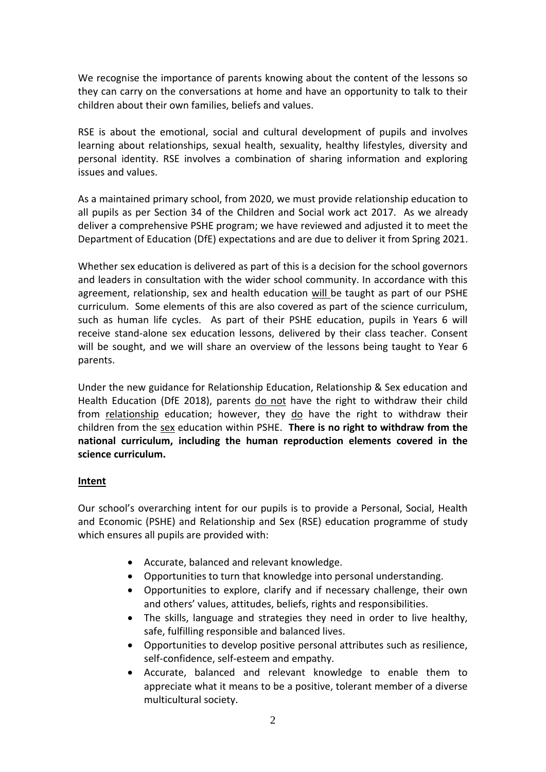We recognise the importance of parents knowing about the content of the lessons so they can carry on the conversations at home and have an opportunity to talk to their children about their own families, beliefs and values.

RSE is about the emotional, social and cultural development of pupils and involves learning about relationships, sexual health, sexuality, healthy lifestyles, diversity and personal identity. RSE involves a combination of sharing information and exploring issues and values.

As a maintained primary school, from 2020, we must provide relationship education to all pupils as per Section 34 of the Children and Social work act 2017. As we already deliver a comprehensive PSHE program; we have reviewed and adjusted it to meet the Department of Education (DfE) expectations and are due to deliver it from Spring 2021.

Whether sex education is delivered as part of this is a decision for the school governors and leaders in consultation with the wider school community. In accordance with this agreement, relationship, sex and health education will be taught as part of our PSHE curriculum. Some elements of this are also covered as part of the science curriculum, such as human life cycles. As part of their PSHE education, pupils in Years 6 will receive stand-alone sex education lessons, delivered by their class teacher. Consent will be sought, and we will share an overview of the lessons being taught to Year 6 parents.

Under the new guidance for Relationship Education, Relationship & Sex education and Health Education (DfE 2018), parents do not have the right to withdraw their child from relationship education; however, they do have the right to withdraw their children from the sex education within PSHE. **There is no right to withdraw from the national curriculum, including the human reproduction elements covered in the science curriculum.**

# **Intent**

Our school's overarching intent for our pupils is to provide a Personal, Social, Health and Economic (PSHE) and Relationship and Sex (RSE) education programme of study which ensures all pupils are provided with:

- Accurate, balanced and relevant knowledge.
- Opportunities to turn that knowledge into personal understanding.
- Opportunities to explore, clarify and if necessary challenge, their own and others' values, attitudes, beliefs, rights and responsibilities.
- The skills, language and strategies they need in order to live healthy, safe, fulfilling responsible and balanced lives.
- Opportunities to develop positive personal attributes such as resilience, self-confidence, self-esteem and empathy.
- Accurate, balanced and relevant knowledge to enable them to appreciate what it means to be a positive, tolerant member of a diverse multicultural society.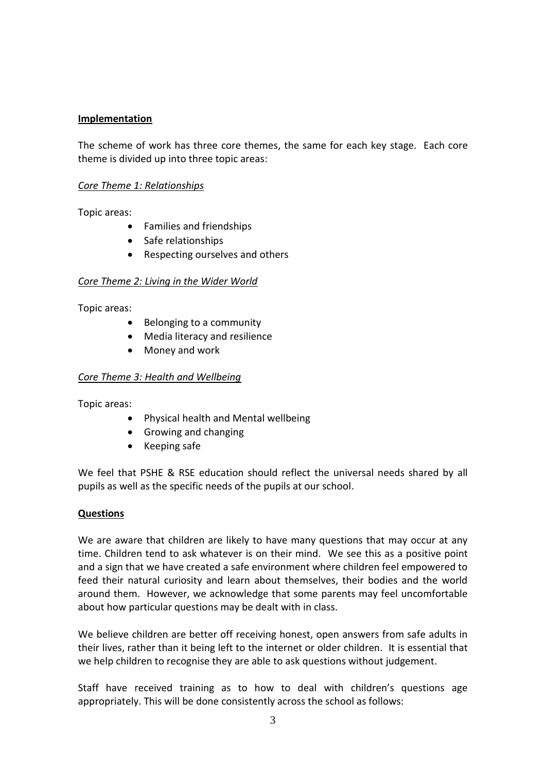# **Implementation**

The scheme of work has three core themes, the same for each key stage. Each core theme is divided up into three topic areas:

#### *Core Theme 1: Relationships*

Topic areas:

- Families and friendships
- Safe relationships
- Respecting ourselves and others

#### *Core Theme 2: Living in the Wider World*

Topic areas:

- Belonging to a community
- Media literacy and resilience
- Money and work

#### *Core Theme 3: Health and Wellbeing*

Topic areas:

- Physical health and Mental wellbeing
- Growing and changing
- Keeping safe

We feel that PSHE & RSE education should reflect the universal needs shared by all pupils as well as the specific needs of the pupils at our school.

#### **Questions**

We are aware that children are likely to have many questions that may occur at any time. Children tend to ask whatever is on their mind. We see this as a positive point and a sign that we have created a safe environment where children feel empowered to feed their natural curiosity and learn about themselves, their bodies and the world around them. However, we acknowledge that some parents may feel uncomfortable about how particular questions may be dealt with in class.

We believe children are better off receiving honest, open answers from safe adults in their lives, rather than it being left to the internet or older children. It is essential that we help children to recognise they are able to ask questions without judgement.

Staff have received training as to how to deal with children's questions age appropriately. This will be done consistently across the school as follows: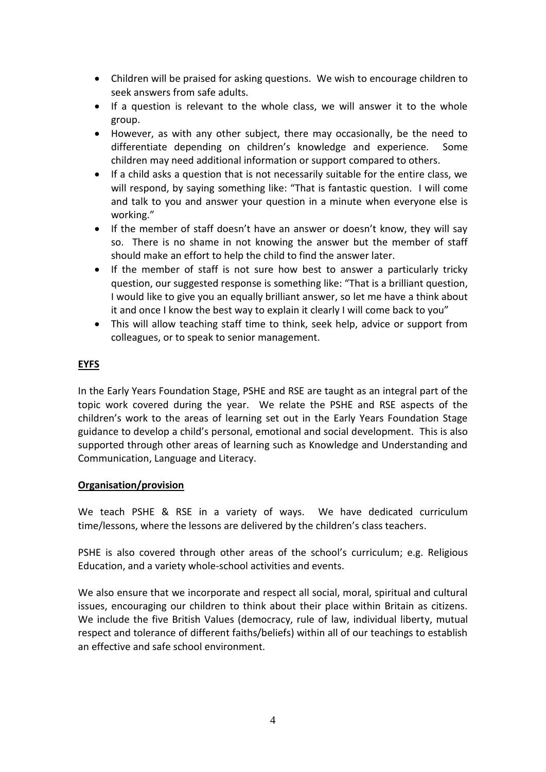- Children will be praised for asking questions. We wish to encourage children to seek answers from safe adults.
- If a question is relevant to the whole class, we will answer it to the whole group.
- However, as with any other subject, there may occasionally, be the need to differentiate depending on children's knowledge and experience. Some children may need additional information or support compared to others.
- If a child asks a question that is not necessarily suitable for the entire class, we will respond, by saying something like: "That is fantastic question. I will come and talk to you and answer your question in a minute when everyone else is working."
- If the member of staff doesn't have an answer or doesn't know, they will say so. There is no shame in not knowing the answer but the member of staff should make an effort to help the child to find the answer later.
- If the member of staff is not sure how best to answer a particularly tricky question, our suggested response is something like: "That is a brilliant question, I would like to give you an equally brilliant answer, so let me have a think about it and once I know the best way to explain it clearly I will come back to you"
- This will allow teaching staff time to think, seek help, advice or support from colleagues, or to speak to senior management.

# **EYFS**

In the Early Years Foundation Stage, PSHE and RSE are taught as an integral part of the topic work covered during the year. We relate the PSHE and RSE aspects of the children's work to the areas of learning set out in the Early Years Foundation Stage guidance to develop a child's personal, emotional and social development. This is also supported through other areas of learning such as Knowledge and Understanding and Communication, Language and Literacy.

# **Organisation/provision**

We teach PSHE & RSE in a variety of ways. We have dedicated curriculum time/lessons, where the lessons are delivered by the children's class teachers.

PSHE is also covered through other areas of the school's curriculum; e.g. Religious Education, and a variety whole-school activities and events.

We also ensure that we incorporate and respect all social, moral, spiritual and cultural issues, encouraging our children to think about their place within Britain as citizens. We include the five British Values (democracy, rule of law, individual liberty, mutual respect and tolerance of different faiths/beliefs) within all of our teachings to establish an effective and safe school environment.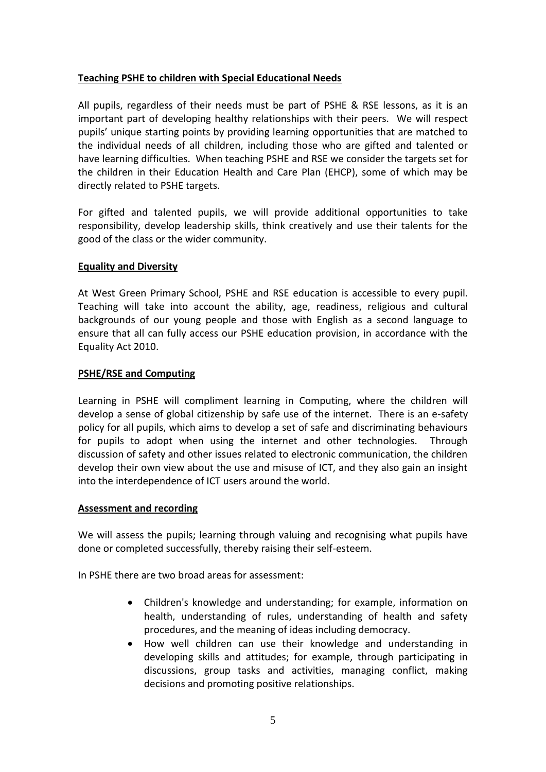# **Teaching PSHE to children with Special Educational Needs**

All pupils, regardless of their needs must be part of PSHE & RSE lessons, as it is an important part of developing healthy relationships with their peers. We will respect pupils' unique starting points by providing learning opportunities that are matched to the individual needs of all children, including those who are gifted and talented or have learning difficulties. When teaching PSHE and RSE we consider the targets set for the children in their Education Health and Care Plan (EHCP), some of which may be directly related to PSHE targets.

For gifted and talented pupils, we will provide additional opportunities to take responsibility, develop leadership skills, think creatively and use their talents for the good of the class or the wider community.

### **Equality and Diversity**

At West Green Primary School, PSHE and RSE education is accessible to every pupil. Teaching will take into account the ability, age, readiness, religious and cultural backgrounds of our young people and those with English as a second language to ensure that all can fully access our PSHE education provision, in accordance with the Equality Act 2010.

#### **PSHE/RSE and Computing**

Learning in PSHE will compliment learning in Computing, where the children will develop a sense of global citizenship by safe use of the internet. There is an e-safety policy for all pupils, which aims to develop a set of safe and discriminating behaviours for pupils to adopt when using the internet and other technologies. Through discussion of safety and other issues related to electronic communication, the children develop their own view about the use and misuse of ICT, and they also gain an insight into the interdependence of ICT users around the world.

#### **Assessment and recording**

We will assess the pupils; learning through valuing and recognising what pupils have done or completed successfully, thereby raising their self-esteem.

In PSHE there are two broad areas for assessment:

- Children's knowledge and understanding; for example, information on health, understanding of rules, understanding of health and safety procedures, and the meaning of ideas including democracy.
- How well children can use their knowledge and understanding in developing skills and attitudes; for example, through participating in discussions, group tasks and activities, managing conflict, making decisions and promoting positive relationships.